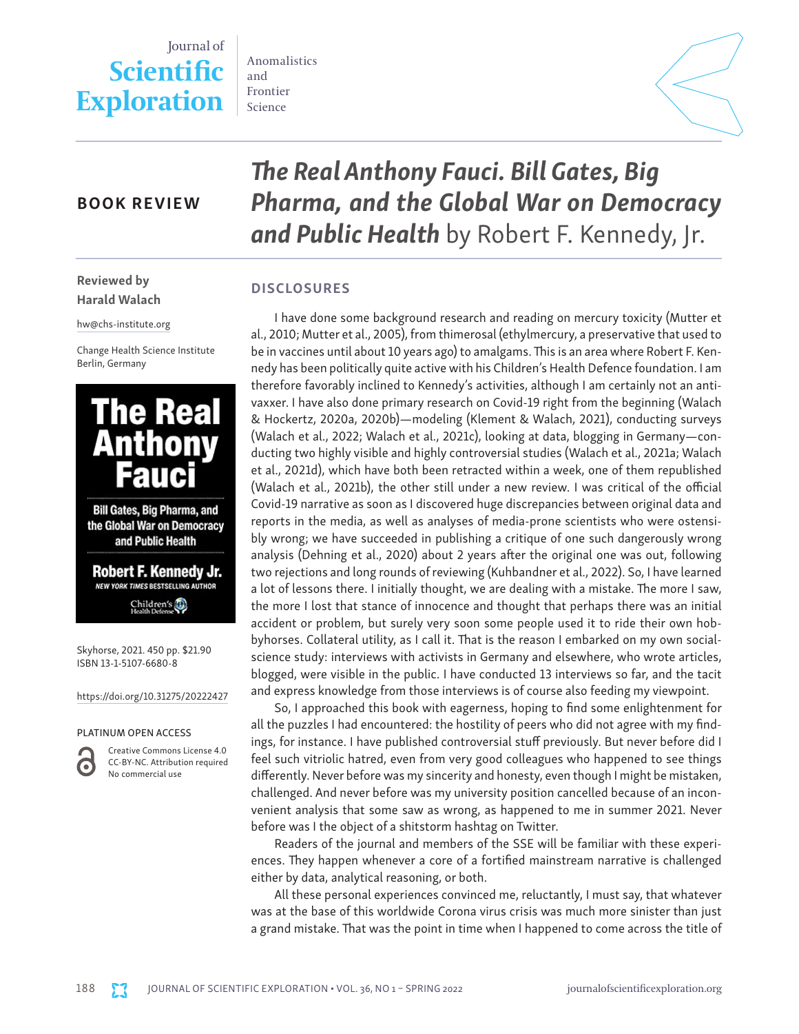# Journal of **Scientific Exploration**

Anomalistics and Frontier Science



## BOOK REVIEW

*The Real Anthony Fauci. Bill Gates, Big Pharma, and the Global War on Democracy and Public Health* by Robert F. Kennedy, Jr.

## **DISCLOSURES**

I have done some background research and reading on mercury toxicity (Mutter et al., 2010; Mutter et al., 2005), from thimerosal (ethylmercury, a preservative that used to be in vaccines until about 10 years ago) to amalgams. This is an area where Robert F. Kennedy has been politically quite active with his Children's Health Defence foundation. I am therefore favorably inclined to Kennedy's activities, although I am certainly not an antivaxxer. I have also done primary research on Covid-19 right from the beginning (Walach & Hockertz, 2020a, 2020b)—modeling (Klement & Walach, 2021), conducting surveys (Walach et al., 2022; Walach et al., 2021c), looking at data, blogging in Germany—conducting two highly visible and highly controversial studies (Walach et al., 2021a; Walach et al., 2021d), which have both been retracted within a week, one of them republished (Walach et al., 2021b), the other still under a new review. I was critical of the official Covid-19 narrative as soon as I discovered huge discrepancies between original data and reports in the media, as well as analyses of media-prone scientists who were ostensibly wrong; we have succeeded in publishing a critique of one such dangerously wrong analysis (Dehning et al., 2020) about 2 years after the original one was out, following two rejections and long rounds of reviewing (Kuhbandner et al., 2022). So, I have learned a lot of lessons there. I initially thought, we are dealing with a mistake. The more I saw, the more I lost that stance of innocence and thought that perhaps there was an initial accident or problem, but surely very soon some people used it to ride their own hobbyhorses. Collateral utility, as I call it. That is the reason I embarked on my own socialscience study: interviews with activists in Germany and elsewhere, who wrote articles, blogged, were visible in the public. I have conducted 13 interviews so far, and the tacit and express knowledge from those interviews is of course also feeding my viewpoint.

So, I approached this book with eagerness, hoping to find some enlightenment for all the puzzles I had encountered: the hostility of peers who did not agree with my findings, for instance. I have published controversial stuff previously. But never before did I feel such vitriolic hatred, even from very good colleagues who happened to see things differently. Never before was my sincerity and honesty, even though I might be mistaken, challenged. And never before was my university position cancelled because of an inconvenient analysis that some saw as wrong, as happened to me in summer 2021. Never before was I the object of a shitstorm hashtag on Twitter.

Readers of the journal and members of the SSE will be familiar with these experiences. They happen whenever a core of a fortified mainstream narrative is challenged either by data, analytical reasoning, or both.

All these personal experiences convinced me, reluctantly, I must say, that whatever was at the base of this worldwide Corona virus crisis was much more sinister than just a grand mistake. That was the point in time when I happened to come across the title of

Reviewed by Harald Walach

hw@chs-institute.org

Change Health Science Institute Berlin, Germany



Bill Gates, Big Pharma, and the Global War on Democracy and Public Health

Robert F. Kennedy Jr. NEW YORK TIMES BESTSELLING AUTHOR Children's

Skyhorse, 2021. 450 pp. \$21.90 ISBN 13-1-5107-6680-8

https://doi.org/10.31275/20222427

#### PLATINUM OPEN ACCESS



Creative Commons License 4.0 CC-BY-NC. Attribution required No commercial use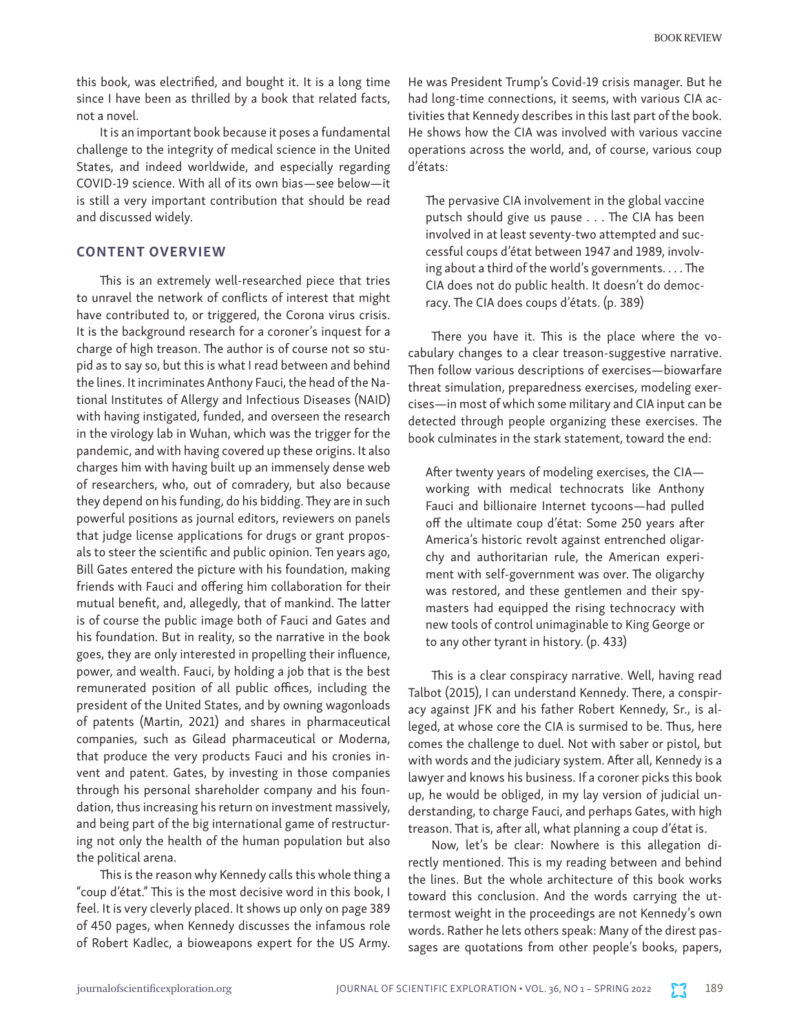this book, was electrified, and bought it. It is a long time since I have been as thrilled by a book that related facts, not a novel.

It is an important book because it poses a fundamental challenge to the integrity of medical science in the United States, and indeed worldwide, and especially regarding COVID-19 science. With all of its own bias—see below—it is still a very important contribution that should be read and discussed widely.

#### CONTENT OVERVIEW

This is an extremely well-researched piece that tries to unravel the network of conflicts of interest that might have contributed to, or triggered, the Corona virus crisis. It is the background research for a coroner's inquest for a charge of high treason. The author is of course not so stupid as to say so, but this is what I read between and behind the lines. It incriminates Anthony Fauci, the head of the National Institutes of Allergy and Infectious Diseases (NAID) with having instigated, funded, and overseen the research in the virology lab in Wuhan, which was the trigger for the pandemic, and with having covered up these origins. It also charges him with having built up an immensely dense web of researchers, who, out of comradery, but also because they depend on his funding, do his bidding. They are in such powerful positions as journal editors, reviewers on panels that judge license applications for drugs or grant proposals to steer the scientific and public opinion. Ten years ago, Bill Gates entered the picture with his foundation, making friends with Fauci and offering him collaboration for their mutual benefit, and, allegedly, that of mankind. The latter is of course the public image both of Fauci and Gates and his foundation. But in reality, so the narrative in the book goes, they are only interested in propelling their influence, power, and wealth. Fauci, by holding a job that is the best remunerated position of all public offices, including the president of the United States, and by owning wagonloads of patents (Martin, 2021) and shares in pharmaceutical companies, such as Gilead pharmaceutical or Moderna, that produce the very products Fauci and his cronies invent and patent. Gates, by investing in those companies through his personal shareholder company and his foundation, thus increasing his return on investment massively, and being part of the big international game of restructuring not only the health of the human population but also the political arena.

This is the reason why Kennedy calls this whole thing a "coup d'état." This is the most decisive word in this book, I feel. It is very cleverly placed. It shows up only on page 389 of 450 pages, when Kennedy discusses the infamous role of Robert Kadlec, a bioweapons expert for the US Army. He was President Trump's Covid-19 crisis manager. But he had long-time connections, it seems, with various CIA activities that Kennedy describes in this last part of the book. He shows how the CIA was involved with various vaccine operations across the world, and, of course, various coup d'états:

The pervasive CIA involvement in the global vaccine putsch should give us pause . . . The CIA has been involved in at least seventy-two attempted and successful coups d'état between 1947 and 1989, involving about a third of the world's governments. . . . The CIA does not do public health. It doesn't do democracy. The CIA does coups d'états. (p. 389)

There you have it. This is the place where the vocabulary changes to a clear treason-suggestive narrative. Then follow various descriptions of exercises—biowarfare threat simulation, preparedness exercises, modeling exercises—in most of which some military and CIA input can be detected through people organizing these exercises. The book culminates in the stark statement, toward the end:

After twenty years of modeling exercises, the CIA working with medical technocrats like Anthony Fauci and billionaire Internet tycoons—had pulled off the ultimate coup d'état: Some 250 years after America's historic revolt against entrenched oligarchy and authoritarian rule, the American experiment with self-government was over. The oligarchy was restored, and these gentlemen and their spymasters had equipped the rising technocracy with new tools of control unimaginable to King George or to any other tyrant in history. (p. 433)

This is a clear conspiracy narrative. Well, having read Talbot (2015), I can understand Kennedy. There, a conspiracy against JFK and his father Robert Kennedy, Sr., is alleged, at whose core the CIA is surmised to be. Thus, here comes the challenge to duel. Not with saber or pistol, but with words and the judiciary system. After all, Kennedy is a lawyer and knows his business. If a coroner picks this book up, he would be obliged, in my lay version of judicial understanding, to charge Fauci, and perhaps Gates, with high treason. That is, after all, what planning a coup d'état is.

Now, let's be clear: Nowhere is this allegation directly mentioned. This is my reading between and behind the lines. But the whole architecture of this book works toward this conclusion. And the words carrying the uttermost weight in the proceedings are not Kennedy's own words. Rather he lets others speak: Many of the direst passages are quotations from other people's books, papers,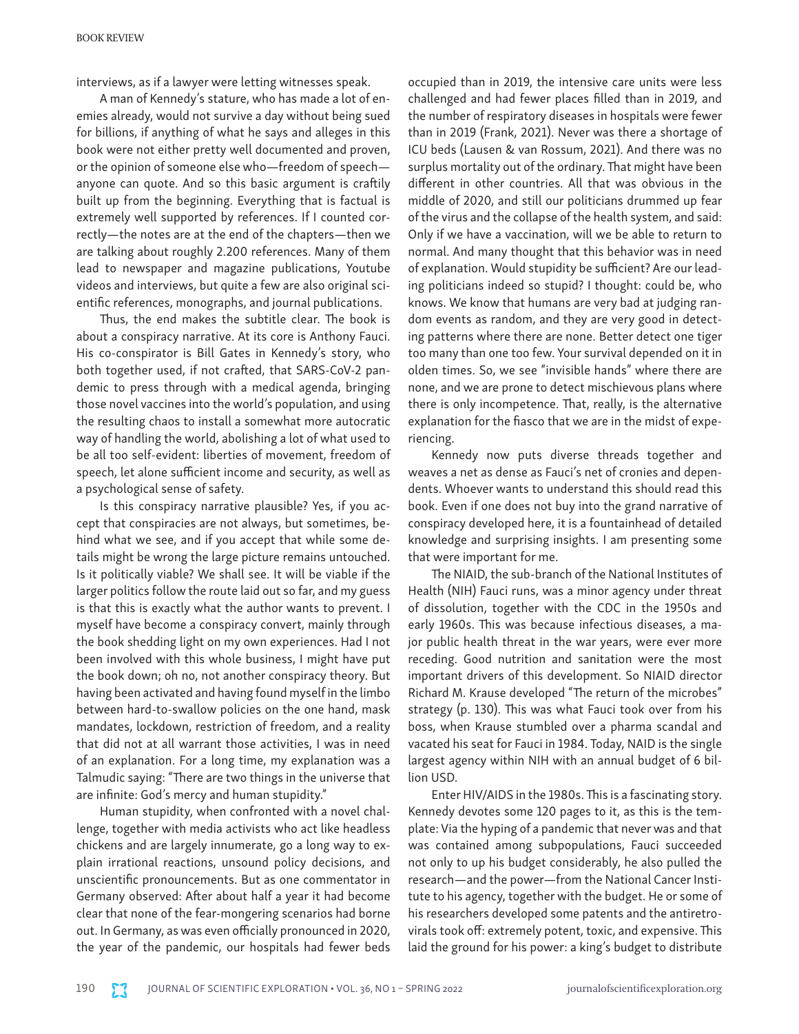interviews, as if a lawyer were letting witnesses speak.

A man of Kennedy's stature, who has made a lot of enemies already, would not survive a day without being sued for billions, if anything of what he says and alleges in this book were not either pretty well documented and proven, or the opinion of someone else who—freedom of speech anyone can quote. And so this basic argument is craftily built up from the beginning. Everything that is factual is extremely well supported by references. If I counted correctly—the notes are at the end of the chapters—then we are talking about roughly 2.200 references. Many of them lead to newspaper and magazine publications, Youtube videos and interviews, but quite a few are also original scientific references, monographs, and journal publications.

Thus, the end makes the subtitle clear. The book is about a conspiracy narrative. At its core is Anthony Fauci. His co-conspirator is Bill Gates in Kennedy's story, who both together used, if not crafted, that SARS-CoV-2 pandemic to press through with a medical agenda, bringing those novel vaccines into the world's population, and using the resulting chaos to install a somewhat more autocratic way of handling the world, abolishing a lot of what used to be all too self-evident: liberties of movement, freedom of speech, let alone sufficient income and security, as well as a psychological sense of safety.

Is this conspiracy narrative plausible? Yes, if you accept that conspiracies are not always, but sometimes, behind what we see, and if you accept that while some details might be wrong the large picture remains untouched. Is it politically viable? We shall see. It will be viable if the larger politics follow the route laid out so far, and my guess is that this is exactly what the author wants to prevent. I myself have become a conspiracy convert, mainly through the book shedding light on my own experiences. Had I not been involved with this whole business, I might have put the book down; oh no, not another conspiracy theory. But having been activated and having found myself in the limbo between hard-to-swallow policies on the one hand, mask mandates, lockdown, restriction of freedom, and a reality that did not at all warrant those activities, I was in need of an explanation. For a long time, my explanation was a Talmudic saying: "There are two things in the universe that are infinite: God's mercy and human stupidity."

Human stupidity, when confronted with a novel challenge, together with media activists who act like headless chickens and are largely innumerate, go a long way to explain irrational reactions, unsound policy decisions, and unscientific pronouncements. But as one commentator in Germany observed: After about half a year it had become clear that none of the fear-mongering scenarios had borne out. In Germany, as was even officially pronounced in 2020, the year of the pandemic, our hospitals had fewer beds

occupied than in 2019, the intensive care units were less challenged and had fewer places filled than in 2019, and the number of respiratory diseases in hospitals were fewer than in 2019 (Frank, 2021). Never was there a shortage of ICU beds (Lausen & van Rossum, 2021). And there was no surplus mortality out of the ordinary. That might have been different in other countries. All that was obvious in the middle of 2020, and still our politicians drummed up fear of the virus and the collapse of the health system, and said: Only if we have a vaccination, will we be able to return to normal. And many thought that this behavior was in need of explanation. Would stupidity be sufficient? Are our leading politicians indeed so stupid? I thought: could be, who knows. We know that humans are very bad at judging random events as random, and they are very good in detecting patterns where there are none. Better detect one tiger too many than one too few. Your survival depended on it in olden times. So, we see "invisible hands" where there are none, and we are prone to detect mischievous plans where there is only incompetence. That, really, is the alternative explanation for the fiasco that we are in the midst of experiencing.

Kennedy now puts diverse threads together and weaves a net as dense as Fauci's net of cronies and dependents. Whoever wants to understand this should read this book. Even if one does not buy into the grand narrative of conspiracy developed here, it is a fountainhead of detailed knowledge and surprising insights. I am presenting some that were important for me.

The NIAID, the sub-branch of the National Institutes of Health (NIH) Fauci runs, was a minor agency under threat of dissolution, together with the CDC in the 1950s and early 1960s. This was because infectious diseases, a major public health threat in the war years, were ever more receding. Good nutrition and sanitation were the most important drivers of this development. So NIAID director Richard M. Krause developed "The return of the microbes" strategy (p. 130). This was what Fauci took over from his boss, when Krause stumbled over a pharma scandal and vacated his seat for Fauci in 1984. Today, NAID is the single largest agency within NIH with an annual budget of 6 billion USD.

Enter HIV/AIDS in the 1980s. This is a fascinating story. Kennedy devotes some 120 pages to it, as this is the template: Via the hyping of a pandemic that never was and that was contained among subpopulations, Fauci succeeded not only to up his budget considerably, he also pulled the research—and the power—from the National Cancer Institute to his agency, together with the budget. He or some of his researchers developed some patents and the antiretrovirals took off: extremely potent, toxic, and expensive. This laid the ground for his power: a king's budget to distribute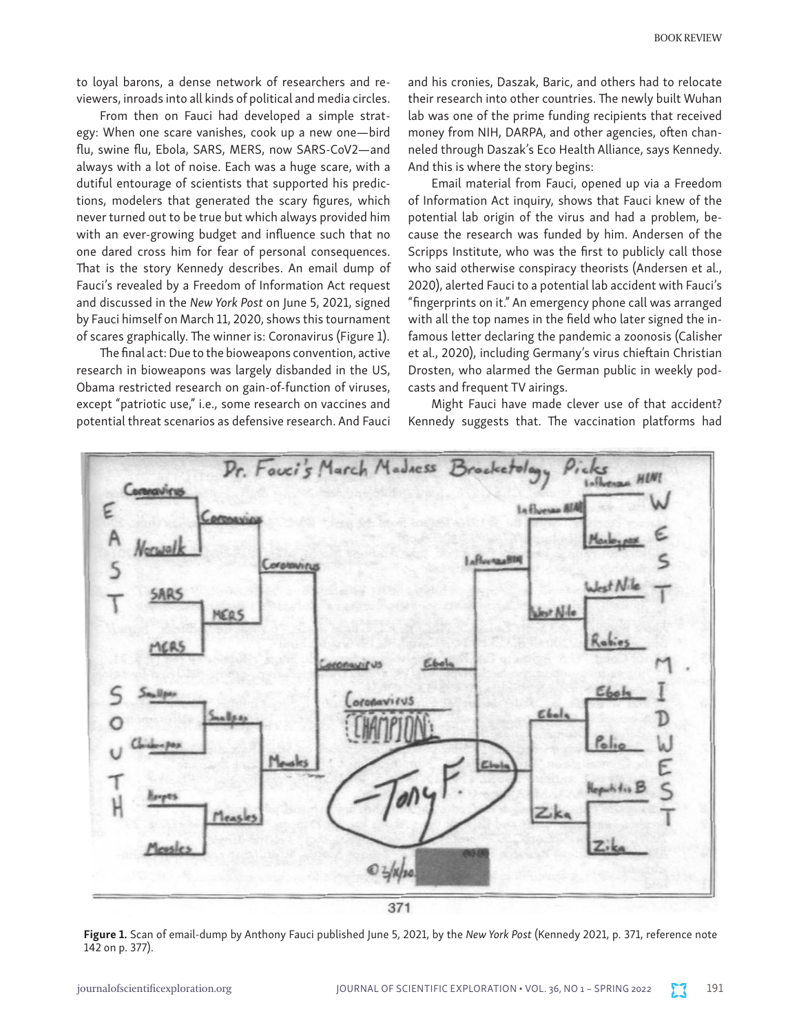to loyal barons, a dense network of researchers and reviewers, inroads into all kinds of political and media circles.

From then on Fauci had developed a simple strategy: When one scare vanishes, cook up a new one—bird flu, swine flu, Ebola, SARS, MERS, now SARS-CoV2—and always with a lot of noise. Each was a huge scare, with a dutiful entourage of scientists that supported his predictions, modelers that generated the scary figures, which never turned out to be true but which always provided him with an ever-growing budget and influence such that no one dared cross him for fear of personal consequences. That is the story Kennedy describes. An email dump of Fauci's revealed by a Freedom of Information Act request and discussed in the *New York Post* on June 5, 2021, signed by Fauci himself on March 11, 2020, shows this tournament of scares graphically. The winner is: Coronavirus (Figure 1).

The final act: Due to the bioweapons convention, active research in bioweapons was largely disbanded in the US, Obama restricted research on gain-of-function of viruses, except "patriotic use," i.e., some research on vaccines and potential threat scenarios as defensive research. And Fauci and his cronies, Daszak, Baric, and others had to relocate their research into other countries. The newly built Wuhan lab was one of the prime funding recipients that received money from NIH, DARPA, and other agencies, often channeled through Daszak's Eco Health Alliance, says Kennedy. And this is where the story begins:

Email material from Fauci, opened up via a Freedom of Information Act inquiry, shows that Fauci knew of the potential lab origin of the virus and had a problem, because the research was funded by him. Andersen of the Scripps Institute, who was the first to publicly call those who said otherwise conspiracy theorists (Andersen et al., 2020), alerted Fauci to a potential lab accident with Fauci's "fingerprints on it." An emergency phone call was arranged with all the top names in the field who later signed the infamous letter declaring the pandemic a zoonosis (Calisher et al., 2020), including Germany's virus chieftain Christian Drosten, who alarmed the German public in weekly podcasts and frequent TV airings.

Might Fauci have made clever use of that accident? Kennedy suggests that. The vaccination platforms had



Figure 1. Scan of email-dump by Anthony Fauci published June 5, 2021, by the *New York Post* (Kennedy 2021, p. 371, reference note 142 on p. 377).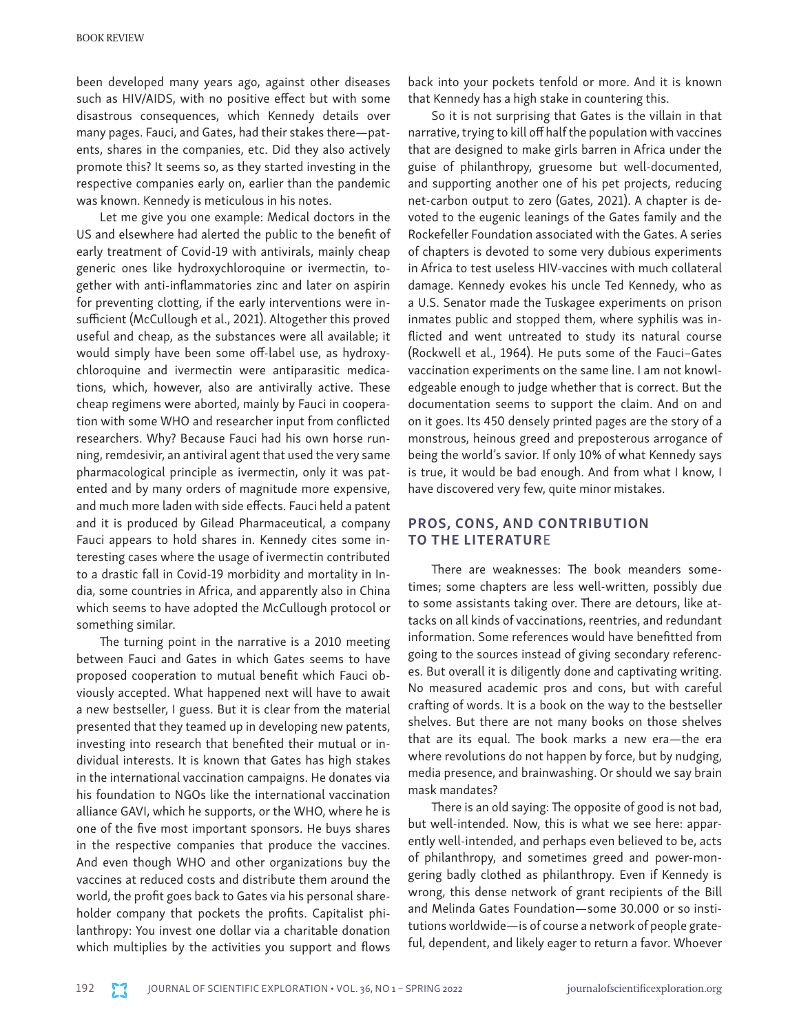been developed many years ago, against other diseases such as HIV/AIDS, with no positive effect but with some disastrous consequences, which Kennedy details over many pages. Fauci, and Gates, had their stakes there—patents, shares in the companies, etc. Did they also actively promote this? It seems so, as they started investing in the respective companies early on, earlier than the pandemic was known. Kennedy is meticulous in his notes.

Let me give you one example: Medical doctors in the US and elsewhere had alerted the public to the benefit of early treatment of Covid-19 with antivirals, mainly cheap generic ones like hydroxychloroquine or ivermectin, together with anti-inflammatories zinc and later on aspirin for preventing clotting, if the early interventions were insufficient (McCullough et al., 2021). Altogether this proved useful and cheap, as the substances were all available; it would simply have been some off-label use, as hydroxychloroquine and ivermectin were antiparasitic medications, which, however, also are antivirally active. These cheap regimens were aborted, mainly by Fauci in cooperation with some WHO and researcher input from conflicted researchers. Why? Because Fauci had his own horse running, remdesivir, an antiviral agent that used the very same pharmacological principle as ivermectin, only it was patented and by many orders of magnitude more expensive, and much more laden with side effects. Fauci held a patent and it is produced by Gilead Pharmaceutical, a company Fauci appears to hold shares in. Kennedy cites some interesting cases where the usage of ivermectin contributed to a drastic fall in Covid-19 morbidity and mortality in India, some countries in Africa, and apparently also in China which seems to have adopted the McCullough protocol or something similar.

The turning point in the narrative is a 2010 meeting between Fauci and Gates in which Gates seems to have proposed cooperation to mutual benefit which Fauci obviously accepted. What happened next will have to await a new bestseller, I guess. But it is clear from the material presented that they teamed up in developing new patents, investing into research that benefited their mutual or individual interests. It is known that Gates has high stakes in the international vaccination campaigns. He donates via his foundation to NGOs like the international vaccination alliance GAVI, which he supports, or the WHO, where he is one of the five most important sponsors. He buys shares in the respective companies that produce the vaccines. And even though WHO and other organizations buy the vaccines at reduced costs and distribute them around the world, the profit goes back to Gates via his personal shareholder company that pockets the profits. Capitalist philanthropy: You invest one dollar via a charitable donation which multiplies by the activities you support and flows

back into your pockets tenfold or more. And it is known that Kennedy has a high stake in countering this.

So it is not surprising that Gates is the villain in that narrative, trying to kill off half the population with vaccines that are designed to make girls barren in Africa under the guise of philanthropy, gruesome but well-documented, and supporting another one of his pet projects, reducing net-carbon output to zero (Gates, 2021). A chapter is devoted to the eugenic leanings of the Gates family and the Rockefeller Foundation associated with the Gates. A series of chapters is devoted to some very dubious experiments in Africa to test useless HIV-vaccines with much collateral damage. Kennedy evokes his uncle Ted Kennedy, who as a U.S. Senator made the Tuskagee experiments on prison inmates public and stopped them, where syphilis was inflicted and went untreated to study its natural course (Rockwell et al., 1964). He puts some of the Fauci–Gates vaccination experiments on the same line. I am not knowledgeable enough to judge whether that is correct. But the documentation seems to support the claim. And on and on it goes. Its 450 densely printed pages are the story of a monstrous, heinous greed and preposterous arrogance of being the world's savior. If only 10% of what Kennedy says is true, it would be bad enough. And from what I know, I have discovered very few, quite minor mistakes.

## PROS, CONS, AND CONTRIBUTION TO THE LITERATURE

There are weaknesses: The book meanders sometimes; some chapters are less well-written, possibly due to some assistants taking over. There are detours, like attacks on all kinds of vaccinations, reentries, and redundant information. Some references would have benefitted from going to the sources instead of giving secondary references. But overall it is diligently done and captivating writing. No measured academic pros and cons, but with careful crafting of words. It is a book on the way to the bestseller shelves. But there are not many books on those shelves that are its equal. The book marks a new era—the era where revolutions do not happen by force, but by nudging, media presence, and brainwashing. Or should we say brain mask mandates?

There is an old saying: The opposite of good is not bad, but well-intended. Now, this is what we see here: apparently well-intended, and perhaps even believed to be, acts of philanthropy, and sometimes greed and power-mongering badly clothed as philanthropy. Even if Kennedy is wrong, this dense network of grant recipients of the Bill and Melinda Gates Foundation—some 30.000 or so institutions worldwide—is of course a network of people grateful, dependent, and likely eager to return a favor. Whoever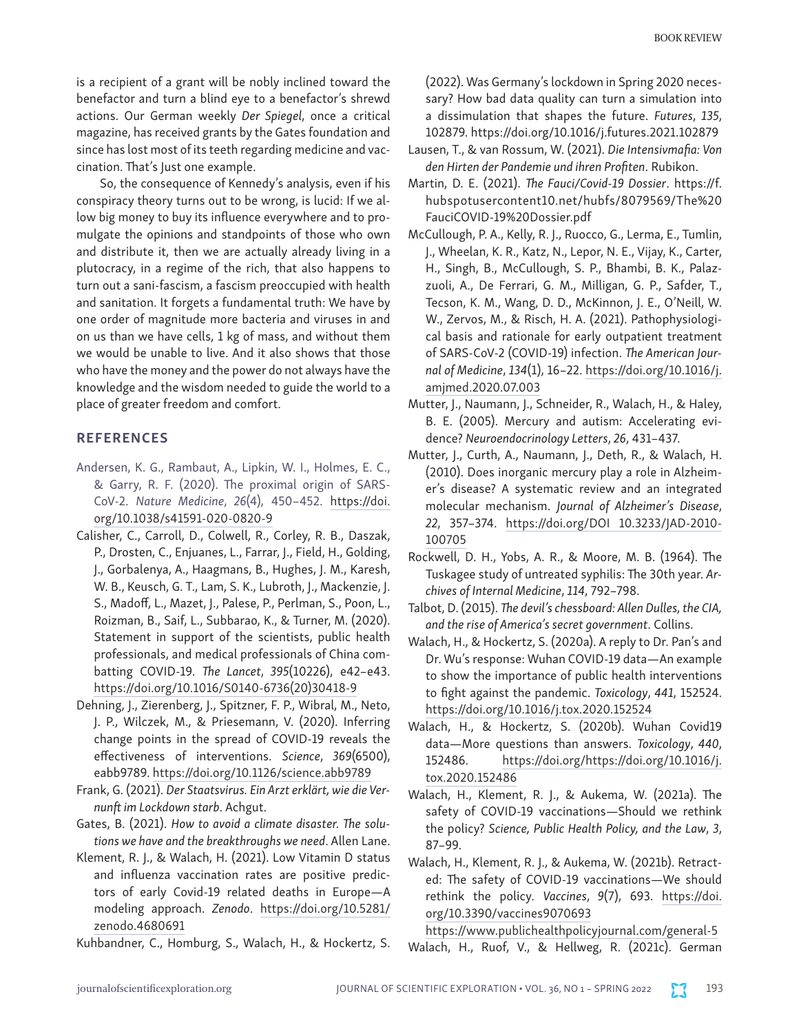is a recipient of a grant will be nobly inclined toward the benefactor and turn a blind eye to a benefactor's shrewd actions. Our German weekly *Der Spiegel*, once a critical magazine, has received grants by the Gates foundation and since has lost most of its teeth regarding medicine and vaccination. That's Just one example.

So, the consequence of Kennedy's analysis, even if his conspiracy theory turns out to be wrong, is lucid: If we allow big money to buy its influence everywhere and to promulgate the opinions and standpoints of those who own and distribute it, then we are actually already living in a plutocracy, in a regime of the rich, that also happens to turn out a sani-fascism, a fascism preoccupied with health and sanitation. It forgets a fundamental truth: We have by one order of magnitude more bacteria and viruses in and on us than we have cells, 1 kg of mass, and without them we would be unable to live. And it also shows that those who have the money and the power do not always have the knowledge and the wisdom needed to guide the world to a place of greater freedom and comfort.

### REFERENCES

- Andersen, K. G., Rambaut, A., Lipkin, W. I., Holmes, E. C., & Garry, R. F. (2020). The proximal origin of SARS-CoV-2. *Nature Medicine*, *26*(4), 450–452. [https://doi.](https://doi.org/10.1038/s41591-020-0820-9) [org/10.1038/s41591-020-0820-9](https://doi.org/10.1038/s41591-020-0820-9)
- Calisher, C., Carroll, D., Colwell, R., Corley, R. B., Daszak, P., Drosten, C., Enjuanes, L., Farrar, J., Field, H., Golding, J., Gorbalenya, A., Haagmans, B., Hughes, J. M., Karesh, W. B., Keusch, G. T., Lam, S. K., Lubroth, J., Mackenzie, J. S., Madoff, L., Mazet, J., Palese, P., Perlman, S., Poon, L., Roizman, B., Saif, L., Subbarao, K., & Turner, M. (2020). Statement in support of the scientists, public health professionals, and medical professionals of China combatting COVID-19. *The Lancet*, *395*(10226), e42–e43. [https://doi.org/10.1016/S0140-6736\(20\)30418-9](https://doi.org/10.1016/S0140-6736(20)30418-9)
- Dehning, J., Zierenberg, J., Spitzner, F. P., Wibral, M., Neto, J. P., Wilczek, M., & Priesemann, V. (2020). Inferring change points in the spread of COVID-19 reveals the effectiveness of interventions. *Science*, *369*(6500), eabb9789.<https://doi.org/10.1126/science.abb9789>
- Frank, G. (2021). *Der Staatsvirus. Ein Arzt erklärt, wie die Vernunft im Lockdown starb*. Achgut.
- Gates, B. (2021). *How to avoid a climate disaster. The solutions we have and the breakthroughs we need*. Allen Lane.
- Klement, R. J., & Walach, H. (2021). Low Vitamin D status and influenza vaccination rates are positive predictors of early Covid-19 related deaths in Europe—A modeling approach. *Zenodo*. [https://doi.org/10.5281/](https://doi.org/10.5281/zenodo.4680691) [zenodo.4680691](https://doi.org/10.5281/zenodo.4680691)
- Kuhbandner, C., Homburg, S., Walach, H., & Hockertz, S.

(2022). Was Germany's lockdown in Spring 2020 necessary? How bad data quality can turn a simulation into a dissimulation that shapes the future. *Futures*, *135*, 102879. https://doi.org/10.1016/j.futures.2021.102879

- Lausen, T., & van Rossum, W. (2021). *Die Intensivmafia: Von den Hirten der Pandemie und ihren Profiten*. Rubikon.
- Martin, D. E. (2021). *The Fauci/Covid-19 Dossier*. https://f. hubspotusercontent10.net/hubfs/8079569/The%20 FauciCOVID-19%20Dossier.pdf
- McCullough, P. A., Kelly, R. J., Ruocco, G., Lerma, E., Tumlin, J., Wheelan, K. R., Katz, N., Lepor, N. E., Vijay, K., Carter, H., Singh, B., McCullough, S. P., Bhambi, B. K., Palazzuoli, A., De Ferrari, G. M., Milligan, G. P., Safder, T., Tecson, K. M., Wang, D. D., McKinnon, J. E., O'Neill, W. W., Zervos, M., & Risch, H. A. (2021). Pathophysiological basis and rationale for early outpatient treatment of SARS-CoV-2 (COVID-19) infection. *The American Journal of Medicine*, *134*(1), 16–22. [https://doi.org/10.1016/j.](https://doi.org/10.1016/j.amjmed.2020.07.003) [amjmed.2020.07.003](https://doi.org/10.1016/j.amjmed.2020.07.003)
- Mutter, J., Naumann, J., Schneider, R., Walach, H., & Haley, B. E. (2005). Mercury and autism: Accelerating evidence? *Neuroendocrinology Letters*, *26*, 431–437.
- Mutter, J., Curth, A., Naumann, J., Deth, R., & Walach, H. (2010). Does inorganic mercury play a role in Alzheimer's disease? A systematic review and an integrated molecular mechanism. *Journal of Alzheimer's Disease*, *22*, 357–374. [https://doi.org/DOI 10.3233/JAD-2010-](https://doi.org/DOI%2010.3233/JAD-2010-100705) [100705](https://doi.org/DOI%2010.3233/JAD-2010-100705)
- Rockwell, D. H., Yobs, A. R., & Moore, M. B. (1964). The Tuskagee study of untreated syphilis: The 30th year. *Archives of Internal Medicine*, *114*, 792–798.
- Talbot, D. (2015). *The devil's chessboard: Allen Dulles, the CIA, and the rise of America's secret government*. Collins.
- Walach, H., & Hockertz, S. (2020a). A reply to Dr. Pan's and Dr. Wu's response: Wuhan COVID-19 data—An example to show the importance of public health interventions to fight against the pandemic. *Toxicology*, *441*, 152524. <https://doi.org/10.1016/j.tox.2020.152524>
- Walach, H., & Hockertz, S. (2020b). Wuhan Covid19 data—More questions than answers. *Toxicology*, *440*, 152486. [https://doi.org/https://doi.org/10.1016/j.](https://doi.org/https://doi.org/10.1016/j.tox.2020.152486) [tox.2020.152486](https://doi.org/https://doi.org/10.1016/j.tox.2020.152486)
- Walach, H., Klement, R. J., & Aukema, W. (2021a). The safety of COVID-19 vaccinations—Should we rethink the policy? *Science, Public Health Policy, and the Law*, *3*, 87–99.
- Walach, H., Klement, R. J., & Aukema, W. (2021b). Retracted: The safety of COVID-19 vaccinations—We should rethink the policy. *Vaccines*, *9*(7), 693. [https://doi.](https://doi.org/10.3390/vaccines9070693) [org/10.3390/vaccines9070693](https://doi.org/10.3390/vaccines9070693)

<https://www.publichealthpolicyjournal.com/general-5> Walach, H., Ruof, V., & Hellweg, R. (2021c). German